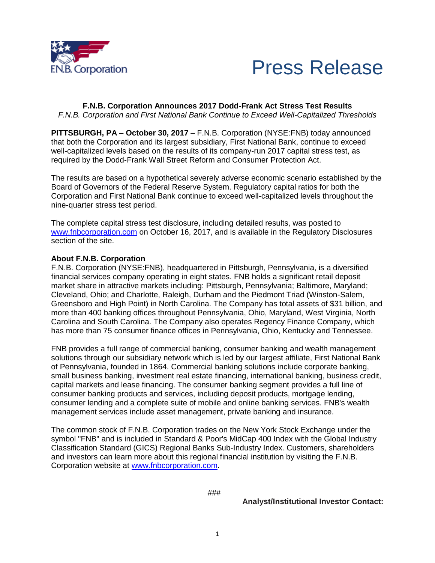



**F.N.B. Corporation Announces 2017 Dodd-Frank Act Stress Test Results** *F.N.B. Corporation and First National Bank Continue to Exceed Well-Capitalized Thresholds*

**PITTSBURGH, PA – October 30, 2017** – F.N.B. Corporation (NYSE:FNB) today announced that both the Corporation and its largest subsidiary, First National Bank, continue to exceed well-capitalized levels based on the results of its company-run 2017 capital stress test, as required by the Dodd-Frank Wall Street Reform and Consumer Protection Act.

The results are based on a hypothetical severely adverse economic scenario established by the Board of Governors of the Federal Reserve System. Regulatory capital ratios for both the Corporation and First National Bank continue to exceed well-capitalized levels throughout the nine-quarter stress test period.

The complete capital stress test disclosure, including detailed results, was posted to [www.fnbcorporation.com](http://www.fnbcorporation.com/) on October 16, 2017, and is available in the Regulatory Disclosures section of the site.

## **About F.N.B. Corporation**

F.N.B. Corporation (NYSE:FNB), headquartered in Pittsburgh, Pennsylvania, is a diversified financial services company operating in eight states. FNB holds a significant retail deposit market share in attractive markets including: Pittsburgh, Pennsylvania; Baltimore, Maryland; Cleveland, Ohio; and Charlotte, Raleigh, Durham and the Piedmont Triad (Winston-Salem, Greensboro and High Point) in North Carolina. The Company has total assets of \$31 billion, and more than 400 banking offices throughout Pennsylvania, Ohio, Maryland, West Virginia, North Carolina and South Carolina. The Company also operates Regency Finance Company, which has more than 75 consumer finance offices in Pennsylvania, Ohio, Kentucky and Tennessee.

FNB provides a full range of commercial banking, consumer banking and wealth management solutions through our subsidiary network which is led by our largest affiliate, First National Bank of Pennsylvania, founded in 1864. Commercial banking solutions include corporate banking, small business banking, investment real estate financing, international banking, business credit, capital markets and lease financing. The consumer banking segment provides a full line of consumer banking products and services, including deposit products, mortgage lending, consumer lending and a complete suite of mobile and online banking services. FNB's wealth management services include asset management, private banking and insurance.

The common stock of F.N.B. Corporation trades on the New York Stock Exchange under the symbol "FNB" and is included in Standard & Poor's MidCap 400 Index with the Global Industry Classification Standard (GICS) Regional Banks Sub-Industry Index. Customers, shareholders and investors can learn more about this regional financial institution by visiting the F.N.B. Corporation website at [www.fnbcorporation.com.](http://www.fnbcorporation.com/)

###

**Analyst/Institutional Investor Contact:**